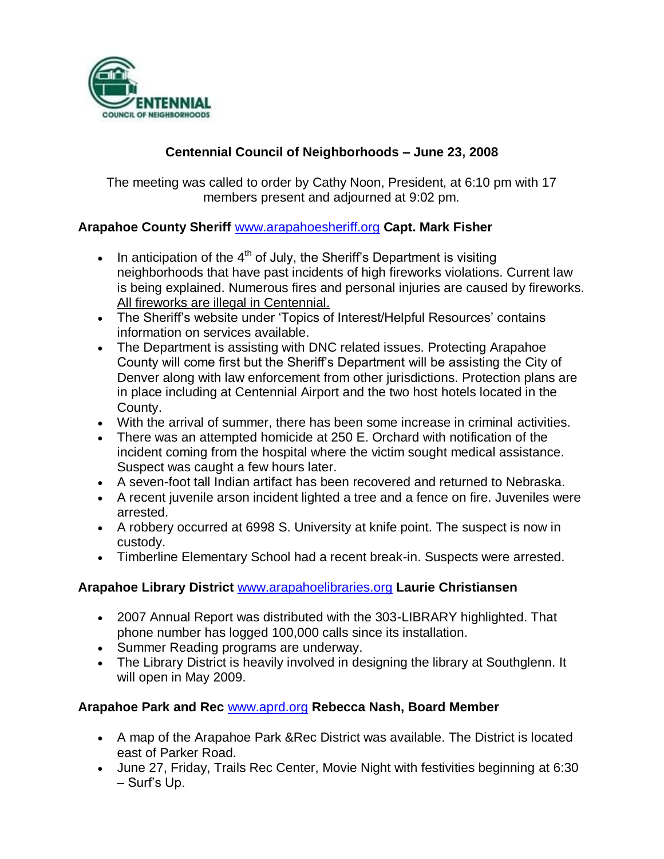

## **Centennial Council of Neighborhoods – June 23, 2008**

The meeting was called to order by Cathy Noon, President, at 6:10 pm with 17 members present and adjourned at 9:02 pm.

## **Arapahoe County Sheriff** [www.arapahoesheriff.org](http://www.arapahoesheriff.org/) **Capt. Mark Fisher**

- In anticipation of the  $4<sup>th</sup>$  of July, the Sheriff's Department is visiting neighborhoods that have past incidents of high fireworks violations. Current law is being explained. Numerous fires and personal injuries are caused by fireworks. All fireworks are illegal in Centennial.
- The Sheriff's website under 'Topics of Interest/Helpful Resources' contains information on services available.
- The Department is assisting with DNC related issues. Protecting Arapahoe County will come first but the Sheriff's Department will be assisting the City of Denver along with law enforcement from other jurisdictions. Protection plans are in place including at Centennial Airport and the two host hotels located in the County.
- With the arrival of summer, there has been some increase in criminal activities.
- There was an attempted homicide at 250 E. Orchard with notification of the incident coming from the hospital where the victim sought medical assistance. Suspect was caught a few hours later.
- A seven-foot tall Indian artifact has been recovered and returned to Nebraska.
- A recent juvenile arson incident lighted a tree and a fence on fire. Juveniles were arrested.
- A robbery occurred at 6998 S. University at knife point. The suspect is now in custody.
- Timberline Elementary School had a recent break-in. Suspects were arrested.

## **Arapahoe Library District** [www.arapahoelibraries.org](http://www.arapahoelibraries.org/) **Laurie Christiansen**

- 2007 Annual Report was distributed with the 303-LIBRARY highlighted. That phone number has logged 100,000 calls since its installation.
- Summer Reading programs are underway.
- The Library District is heavily involved in designing the library at Southglenn. It will open in May 2009.

## **Arapahoe Park and Rec** [www.aprd.org](http://www.aprd.org/) **Rebecca Nash, Board Member**

- A map of the Arapahoe Park &Rec District was available. The District is located east of Parker Road.
- June 27, Friday, Trails Rec Center, Movie Night with festivities beginning at 6:30 – Surf's Up.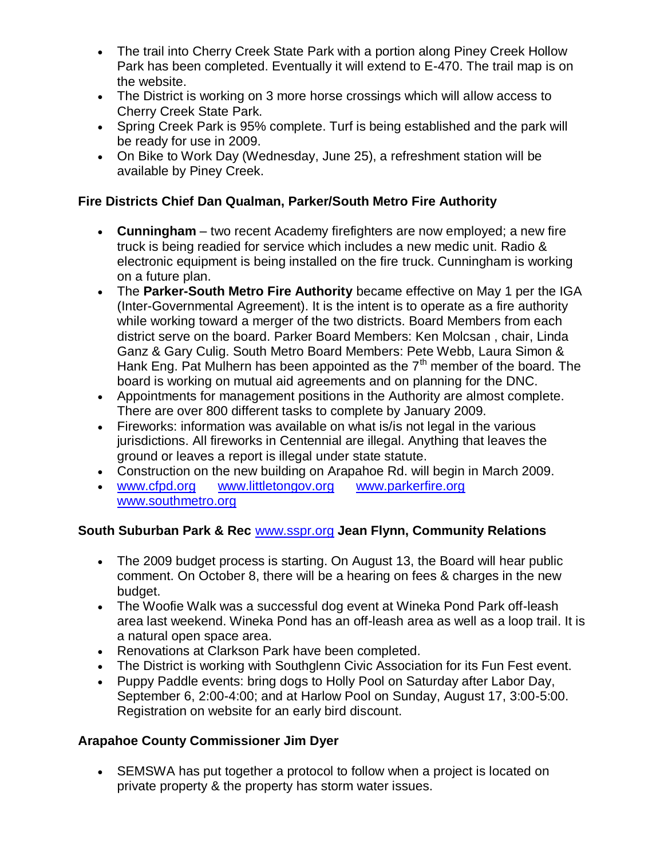- The trail into Cherry Creek State Park with a portion along Piney Creek Hollow Park has been completed. Eventually it will extend to E-470. The trail map is on the website.
- The District is working on 3 more horse crossings which will allow access to Cherry Creek State Park.
- Spring Creek Park is 95% complete. Turf is being established and the park will be ready for use in 2009.
- On Bike to Work Day (Wednesday, June 25), a refreshment station will be available by Piney Creek.

## **Fire Districts Chief Dan Qualman, Parker/South Metro Fire Authority**

- **Cunningham** two recent Academy firefighters are now employed; a new fire truck is being readied for service which includes a new medic unit. Radio & electronic equipment is being installed on the fire truck. Cunningham is working on a future plan.
- The **Parker-South Metro Fire Authority** became effective on May 1 per the IGA (Inter-Governmental Agreement). It is the intent is to operate as a fire authority while working toward a merger of the two districts. Board Members from each district serve on the board. Parker Board Members: Ken Molcsan , chair, Linda Ganz & Gary Culig. South Metro Board Members: Pete Webb, Laura Simon & Hank Eng. Pat Mulhern has been appointed as the  $7<sup>th</sup>$  member of the board. The board is working on mutual aid agreements and on planning for the DNC.
- Appointments for management positions in the Authority are almost complete. There are over 800 different tasks to complete by January 2009.
- Fireworks: information was available on what is/is not legal in the various jurisdictions. All fireworks in Centennial are illegal. Anything that leaves the ground or leaves a report is illegal under state statute.
- Construction on the new building on Arapahoe Rd. will begin in March 2009.
- [www.cfpd.org](http://www.cfpd.org/) [www.littletongov.org](http://www.littletongov.org/) [www.parkerfire.org](http://www.parkerfire.org/)  [www.southmetro.org](http://www.southmetro.org/)

## **South Suburban Park & Rec** [www.sspr.org](http://www.sspr.org/) **Jean Flynn, Community Relations**

- The 2009 budget process is starting. On August 13, the Board will hear public comment. On October 8, there will be a hearing on fees & charges in the new budget.
- The Woofie Walk was a successful dog event at Wineka Pond Park off-leash area last weekend. Wineka Pond has an off-leash area as well as a loop trail. It is a natural open space area.
- Renovations at Clarkson Park have been completed.
- The District is working with Southglenn Civic Association for its Fun Fest event.
- Puppy Paddle events: bring dogs to Holly Pool on Saturday after Labor Day, September 6, 2:00-4:00; and at Harlow Pool on Sunday, August 17, 3:00-5:00. Registration on website for an early bird discount.

# **Arapahoe County Commissioner Jim Dyer**

 SEMSWA has put together a protocol to follow when a project is located on private property & the property has storm water issues.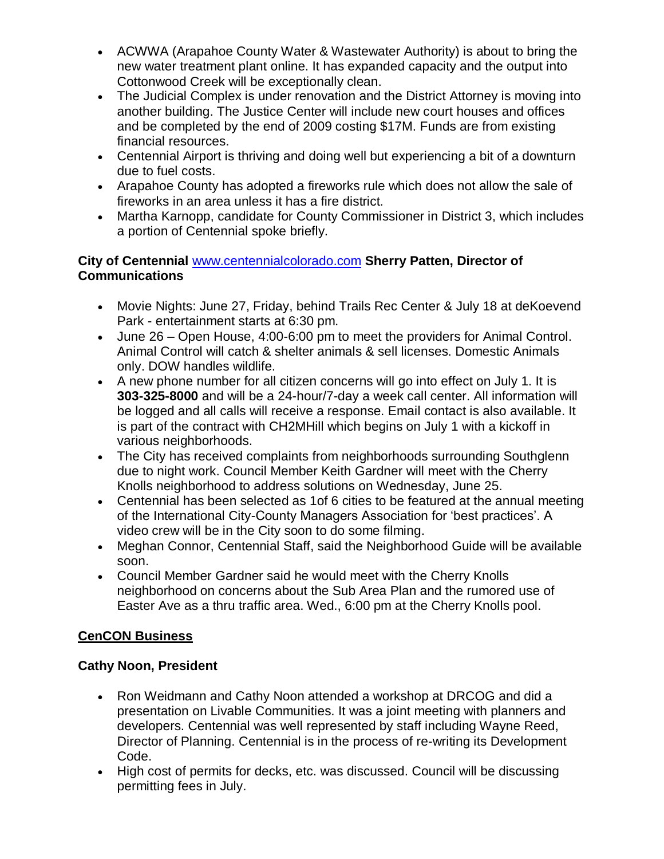- ACWWA (Arapahoe County Water & Wastewater Authority) is about to bring the new water treatment plant online. It has expanded capacity and the output into Cottonwood Creek will be exceptionally clean.
- The Judicial Complex is under renovation and the District Attorney is moving into another building. The Justice Center will include new court houses and offices and be completed by the end of 2009 costing \$17M. Funds are from existing financial resources.
- Centennial Airport is thriving and doing well but experiencing a bit of a downturn due to fuel costs.
- Arapahoe County has adopted a fireworks rule which does not allow the sale of fireworks in an area unless it has a fire district.
- Martha Karnopp, candidate for County Commissioner in District 3, which includes a portion of Centennial spoke briefly.

## **City of Centennial** [www.centennialcolorado.com](http://www.centennialcolorado.com/) **Sherry Patten, Director of Communications**

- Movie Nights: June 27, Friday, behind Trails Rec Center & July 18 at deKoevend Park - entertainment starts at 6:30 pm.
- June 26 Open House, 4:00-6:00 pm to meet the providers for Animal Control. Animal Control will catch & shelter animals & sell licenses. Domestic Animals only. DOW handles wildlife.
- A new phone number for all citizen concerns will go into effect on July 1. It is **303-325-8000** and will be a 24-hour/7-day a week call center. All information will be logged and all calls will receive a response. Email contact is also available. It is part of the contract with CH2MHill which begins on July 1 with a kickoff in various neighborhoods.
- The City has received complaints from neighborhoods surrounding Southglenn due to night work. Council Member Keith Gardner will meet with the Cherry Knolls neighborhood to address solutions on Wednesday, June 25.
- Centennial has been selected as 1of 6 cities to be featured at the annual meeting of the International City-County Managers Association for 'best practices'. A video crew will be in the City soon to do some filming.
- Meghan Connor, Centennial Staff, said the Neighborhood Guide will be available soon.
- Council Member Gardner said he would meet with the Cherry Knolls neighborhood on concerns about the Sub Area Plan and the rumored use of Easter Ave as a thru traffic area. Wed., 6:00 pm at the Cherry Knolls pool.

# **CenCON Business**

# **Cathy Noon, President**

- Ron Weidmann and Cathy Noon attended a workshop at DRCOG and did a presentation on Livable Communities. It was a joint meeting with planners and developers. Centennial was well represented by staff including Wayne Reed, Director of Planning. Centennial is in the process of re-writing its Development Code.
- High cost of permits for decks, etc. was discussed. Council will be discussing permitting fees in July.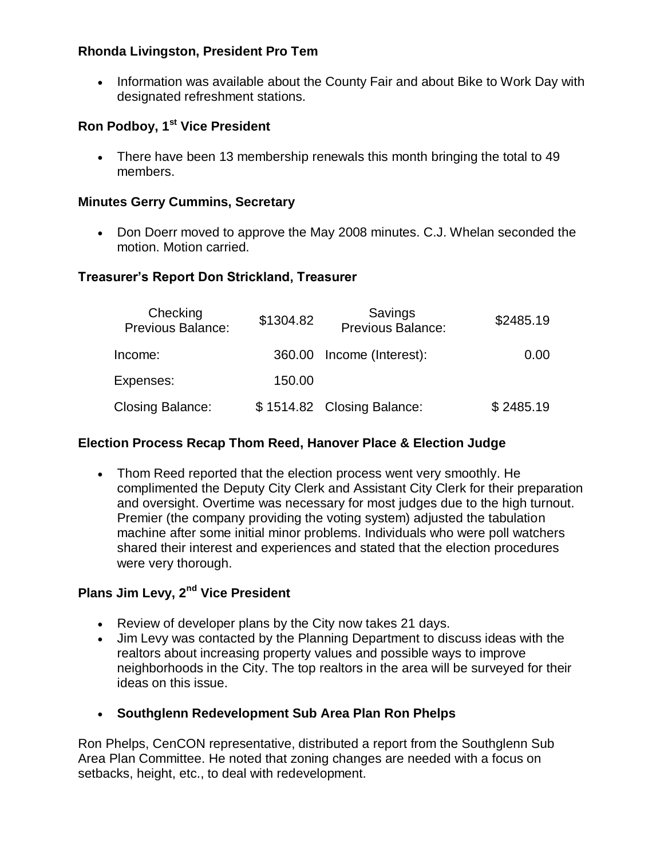### **Rhonda Livingston, President Pro Tem**

• Information was available about the County Fair and about Bike to Work Day with designated refreshment stations.

## **Ron Podboy, 1st Vice President**

• There have been 13 membership renewals this month bringing the total to 49 members.

#### **Minutes Gerry Cummins, Secretary**

 Don Doerr moved to approve the May 2008 minutes. C.J. Whelan seconded the motion. Motion carried.

#### **Treasurer's Report Don Strickland, Treasurer**

| Checking<br><b>Previous Balance:</b> | \$1304.82 | Savings<br><b>Previous Balance:</b> | \$2485.19 |
|--------------------------------------|-----------|-------------------------------------|-----------|
| Income:                              |           | 360.00 Income (Interest):           | 0.00      |
| Expenses:                            | 150.00    |                                     |           |
| <b>Closing Balance:</b>              |           | \$1514.82 Closing Balance:          | \$2485.19 |

#### **Election Process Recap Thom Reed, Hanover Place & Election Judge**

 Thom Reed reported that the election process went very smoothly. He complimented the Deputy City Clerk and Assistant City Clerk for their preparation and oversight. Overtime was necessary for most judges due to the high turnout. Premier (the company providing the voting system) adjusted the tabulation machine after some initial minor problems. Individuals who were poll watchers shared their interest and experiences and stated that the election procedures were very thorough.

## **Plans Jim Levy, 2nd Vice President**

- Review of developer plans by the City now takes 21 days.
- Jim Levy was contacted by the Planning Department to discuss ideas with the realtors about increasing property values and possible ways to improve neighborhoods in the City. The top realtors in the area will be surveyed for their ideas on this issue.
- **Southglenn Redevelopment Sub Area Plan Ron Phelps**

Ron Phelps, CenCON representative, distributed a report from the Southglenn Sub Area Plan Committee. He noted that zoning changes are needed with a focus on setbacks, height, etc., to deal with redevelopment.